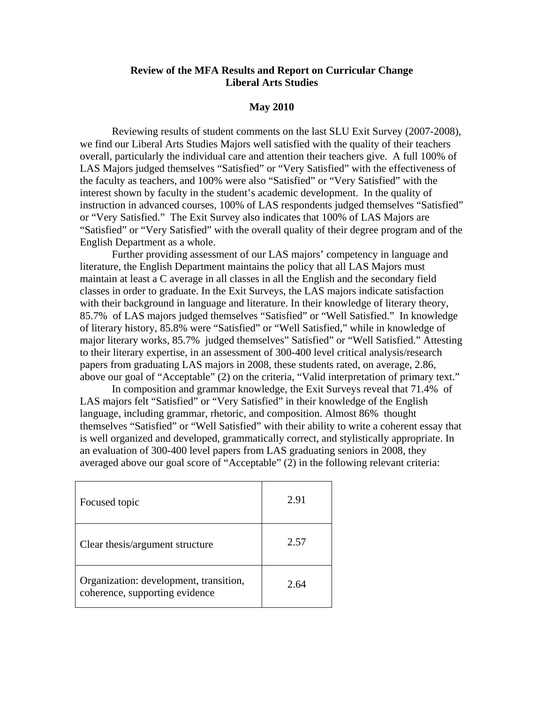## **Review of the MFA Results and Report on Curricular Change Liberal Arts Studies**

## **May 2010**

 Reviewing results of student comments on the last SLU Exit Survey (2007-2008), we find our Liberal Arts Studies Majors well satisfied with the quality of their teachers overall, particularly the individual care and attention their teachers give. A full 100% of LAS Majors judged themselves "Satisfied" or "Very Satisfied" with the effectiveness of the faculty as teachers, and 100% were also "Satisfied" or "Very Satisfied" with the interest shown by faculty in the student's academic development. In the quality of instruction in advanced courses, 100% of LAS respondents judged themselves "Satisfied" or "Very Satisfied." The Exit Survey also indicates that 100% of LAS Majors are "Satisfied" or "Very Satisfied" with the overall quality of their degree program and of the English Department as a whole.

Further providing assessment of our LAS majors' competency in language and literature, the English Department maintains the policy that all LAS Majors must maintain at least a C average in all classes in all the English and the secondary field classes in order to graduate. In the Exit Surveys, the LAS majors indicate satisfaction with their background in language and literature. In their knowledge of literary theory, 85.7% of LAS majors judged themselves "Satisfied" or "Well Satisfied." In knowledge of literary history, 85.8% were "Satisfied" or "Well Satisfied," while in knowledge of major literary works, 85.7% judged themselves" Satisfied" or "Well Satisfied." Attesting to their literary expertise, in an assessment of 300-400 level critical analysis/research papers from graduating LAS majors in 2008, these students rated, on average, 2.86, above our goal of "Acceptable" (2) on the criteria, "Valid interpretation of primary text."

In composition and grammar knowledge, the Exit Surveys reveal that 71.4% of LAS majors felt "Satisfied" or "Very Satisfied" in their knowledge of the English language, including grammar, rhetoric, and composition. Almost 86% thought themselves "Satisfied" or "Well Satisfied" with their ability to write a coherent essay that is well organized and developed, grammatically correct, and stylistically appropriate. In an evaluation of 300-400 level papers from LAS graduating seniors in 2008, they averaged above our goal score of "Acceptable" (2) in the following relevant criteria:

| Focused topic                                                            | 2.91 |
|--------------------------------------------------------------------------|------|
| Clear thesis/argument structure                                          | 2.57 |
| Organization: development, transition,<br>coherence, supporting evidence | 2.64 |